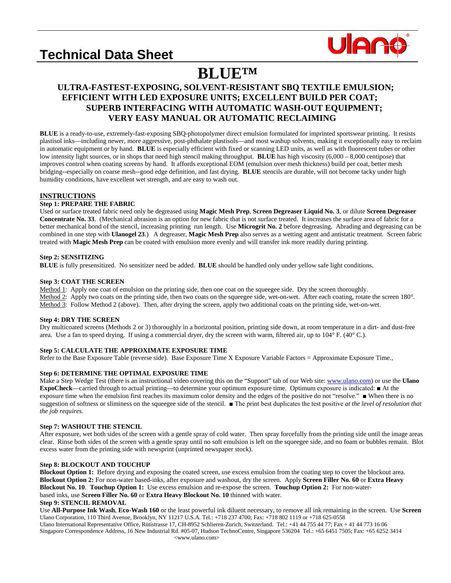# **Technical Data Sheet**



## **BLUETM**<br>
ULTRA-FASTEST-EXPOSING, SOLVENT-RESISTANT SBQ TEXTILE EMULSION;  **EFFICIENT WITH LED EXPOSURE UNITS; EXCELLENT BUILD PER COAT; SUPERB INTERFACING WITH AUTOMATIC WASH-OUT EQUIPMENT; VERY EASY MANUAL OR AUTOMATIC RECLAIMING**

**BLUE** is a ready-to-use, extremely-fast-exposing SBQ-photopolymer direct emulsion formulated for imprinted sportswear printing. It resists plastisol inks—including newer, more aggressive, post-phthalate plastisols—and most washup solvents, making it exceptionally easy to reclaim in automatic equipment or by hand. **BLUE** is especially efficient with fixed or scanning LED units, as well as with fluorescent tubes or other low intensity light sources, or in shops that need high stencil making throughput. **BLUE** has high viscosity (6,000 – 8,000 centipose) that improves control when coating screens by hand. It affords exceptional EOM (emulsion over mesh thickness) build per coat, better mesh bridging--especially on coarse mesh--good edge definition, and fast drying. **BLUE** stencils are durable, will not become tacky under high humidity conditions, have excellent wet strength, and are easy to wash out.

### **INSTRUCTIONS**

#### **Step 1: PREPARE THE FABRIC**

Used or surface treated fabric need only be degreased using **Magic Mesh Prep**, **Screen Degreaser Liquid No. 3**, or dilute **Screen Degreaser Concentrate No. 33**. (Mechanical abrasion is an option for new fabric that is not surface treated. It increases the surface area of fabric for a better mechanical bond of the stencil, increasing printing run length. Use **Microgrit No. 2** before degreasing. Abrading and degreasing can be combined in one step with **Ulanogel 23**.) A degreaser, **Magic Mesh Prep** also serves as a wetting agent and antistatic treatment. Screen fabric treated with **Magic Mesh Prep** can be coated with emulsion more evenly and will transfer ink more readily during printing.

#### **Step 2: SENSITIZING**

**BLUE** is fully presensitized. No sensitizer need be added. **BLUE** should be handled only under yellow safe light conditions.

### **Step 3: COAT THE SCREEN**

Method 1: Apply one coat of emulsion on the printing side, then one coat on the squeegee side. Dry the screen thoroughly. Method 2: Apply two coats on the printing side, then two coats on the squeegee side, wet-on-wet. After each coating, rotate the screen 180<sup>°</sup>. Method 3: Follow Method 2 (above). Then, after drying the screen, apply two additional coats on the printing side, wet-on-wet.

#### **Step 4: DRY THE SCREEN**

Dry multicoated screens (Methods 2 or 3) thoroughly in a horizontal position, printing side down, at room temperature in a dirt- and dust-free area. Use a fan to speed drying. If using a commercial dryer, dry the screen with warm, filtered air, up to 104° F. (40° C.).

#### **Step 5: CALCULATE THE APPROXIMATE EXPOSURE TIME**

Refer to the Base Exposure Table (reverse side). Base Exposure Time X Exposure Variable Factors = Approximate Exposure Time.,

#### **Step 6: DETERMINE THE OPTIMAL EXPOSURE TIME**

Make a Step Wedge Test (there is an instructional video covering this on the "Support" tab of our Web site[: www.ulano.com\)](http://www.ulano.com/) or use the **Ulano ExpoCheck**—carried through to actual printing—to determine your optimum exposure time. Optimum exposure is indicated: ■ At the exposure time when the emulsion first reaches its maximum color density and the edges of the positive do not "resolve." ■ When there is no suggestion of softness or sliminess on the squeegee side of the stencil. ■ The print best duplicates the test positive *at the level of resolution that the job requires.*

#### **Step 7: WASHOUT THE STENCIL**

After exposure, wet both sides of the screen with a gentle spray of cold water. Then spray forcefully from the printing side until the image areas clear. Rinse both sides of the screen with a gentle spray until no soft emulsion is left on the squeegee side, and no foam or bubbles remain. Blot excess water from the printing side with newsprint (unprinted newspaper stock).

#### **Step 8: BLOCKOUT AND TOUCHUP**

**Blockout Option 1:** Before drying and exposing the coated screen, use excess emulsion from the coating step to cover the blockout area. **Blockout Option 2:** For non-water based-inks, after exposure and washout, dry the screen. Apply **Screen Filler No. 60** or **Extra Heavy Blockout No. 10**. **Touchup Option 1:** Use excess emulsion and re-expose the screen. **Touchup Option 2:** For non-waterbased inks, use **Screen Filler No. 60** or **Extra Heavy Blockout No. 10** thinned with water.

#### **Step 9: STENCIL REMOVAL**

Ulano Corporation, 110 Third Avenue, Brooklyn, NY 11217 U.S.A. Tel.: +718 237 4700; Fax: +718 802 1119 or +718 625-0558 Ulano International Representative Office, Rütistrasse 17, CH-8952 Schlieren-Zurich, Switzerland. Tel.: +41 44 755 44 77; Fax + 41 44 773 16 06 Use **All-Purpose Ink Wash**, **Eco-Wash 160** or the least powerful ink diluent necessary, to remove all ink remaining in the screen. Use **Screen** 

Singapore Correspondence Address, 16 New Industrial Rd. #05-07, Hudson TechnoCentre, Singapore 536204 Tel.: +65 6451 7505; Fax: +65 6252 3414 <www.ulano.com>